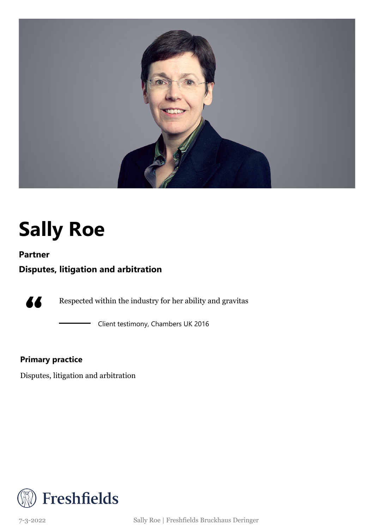

## **Sally Roe**

#### **Partner**

77

### **Disputes, litigation and arbitration**

Respected within the industry for her ability and gravitas

Client testimony, Chambers UK 2016

### **Primary practice**

Disputes, litigation and arbitration



7-3-2022 Sally Roe | Freshfields Bruckhaus Deringer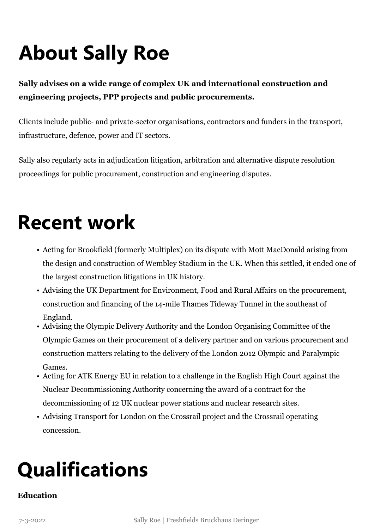# **About Sally Roe**

**Sally advises on a wide range of complex UK and international construction and engineering projects, PPP projects and public procurements.**

Clients include public- and private-sector organisations, contractors and funders in the transport, infrastructure, defence, power and IT sectors.

Sally also regularly acts in adjudication litigation, arbitration and alternative dispute resolution proceedings for public procurement, construction and engineering disputes.

### **Recent work**

- Acting for Brookfield (formerly Multiplex) on its dispute with Mott MacDonald arising from the design and construction of Wembley Stadium in the UK. When this settled, it ended one of the largest construction litigations in UK history.
- Advising the UK Department for Environment, Food and Rural Affairs on the procurement, construction and financing of the 14-mile Thames Tideway Tunnel in the southeast of England.
- Advising the Olympic Delivery Authority and the London Organising Committee of the Olympic Games on their procurement of a delivery partner and on various procurement and construction matters relating to the delivery of the London 2012 Olympic and Paralympic Games.
- Acting for ATK Energy EU in relation to a challenge in the English High Court against the Nuclear Decommissioning Authority concerning the award of a contract for the decommissioning of 12 UK nuclear power stations and nuclear research sites.
- Advising Transport for London on the Crossrail project and the Crossrail operating concession.

### **Qualifications**

### **Education**